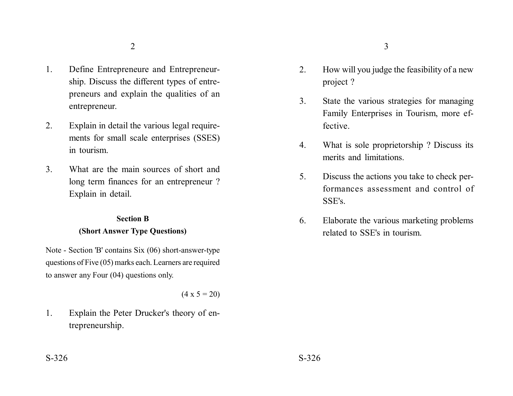- 1. Define Entrepreneure and Entrepreneurship. Discuss the different types of entrepreneurs and explain the qualities of an entrepreneur.
- 2. Explain in detail the various legal requirements for small scale enterprises (SSES) in tourism.
- 3. What are the main sources of short and long term finances for an entrepreneur ? Explain in detail.

## **Section B (Short Answer Type Questions)**

Note - Section 'B' contains Six (06) short-answer-type questions of Five (05) marks each. Learners are required to answer any Four (04) questions only.

 $(4 \times 5 = 20)$ 

1. Explain the Peter Drucker's theory of entrepreneurship.

- 2. How will you judge the feasibility of a new project ?
- 3. State the various strategies for managing Family Enterprises in Tourism, more effective.
- 4. What is sole proprietorship ? Discuss its merits and limitations.
- 5. Discuss the actions you take to check performances assessment and control of SSE's.
- 6. Elaborate the various marketing problems related to SSE's in tourism.